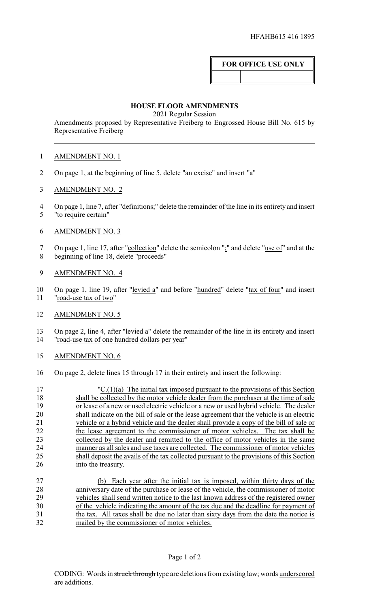## **FOR OFFICE USE ONLY**

## **HOUSE FLOOR AMENDMENTS**

2021 Regular Session

Amendments proposed by Representative Freiberg to Engrossed House Bill No. 615 by Representative Freiberg

## AMENDMENT NO. 1

- On page 1, at the beginning of line 5, delete "an excise" and insert "a"
- AMENDMENT NO. 2
- On page 1, line 7, after "definitions;" delete the remainder of the line in its entirety and insert "to require certain"
- AMENDMENT NO. 3
- On page 1, line 17, after "collection" delete the semicolon ";" and delete "use of" and at the beginning of line 18, delete "proceeds"
- AMENDMENT NO. 4
- On page 1, line 19, after "levied a" and before "hundred" delete "tax of four" and insert "road-use tax of two"
- AMENDMENT NO. 5

13 On page 2, line 4, after "<u>levied a</u>" delete the remainder of the line in its entirety and insert 14 "road-use tax of one hundred dollars per vear" "road-use tax of one hundred dollars per year"

- AMENDMENT NO. 6
- On page 2, delete lines 15 through 17 in their entirety and insert the following:

| 17 | $\text{''C}.(1)(a)$ The initial tax imposed pursuant to the provisions of this Section    |
|----|-------------------------------------------------------------------------------------------|
| 18 | shall be collected by the motor vehicle dealer from the purchaser at the time of sale     |
| 19 | or lease of a new or used electric vehicle or a new or used hybrid vehicle. The dealer    |
| 20 | shall indicate on the bill of sale or the lease agreement that the vehicle is an electric |
| 21 | vehicle or a hybrid vehicle and the dealer shall provide a copy of the bill of sale or    |
| 22 | the lease agreement to the commissioner of motor vehicles. The tax shall be               |
| 23 | collected by the dealer and remitted to the office of motor vehicles in the same          |
| 24 | manner as all sales and use taxes are collected. The commissioner of motor vehicles       |
| 25 | shall deposit the avails of the tax collected pursuant to the provisions of this Section  |
| 26 | into the treasury.                                                                        |
|    |                                                                                           |

 (b) Each year after the initial tax is imposed, within thirty days of the anniversary date of the purchase or lease of the vehicle, the commissioner of motor vehicles shall send written notice to the last known address of the registered owner of the vehicle indicating the amount of the tax due and the deadline for payment of the tax. All taxes shall be due no later than sixty days from the date the notice is mailed by the commissioner of motor vehicles.